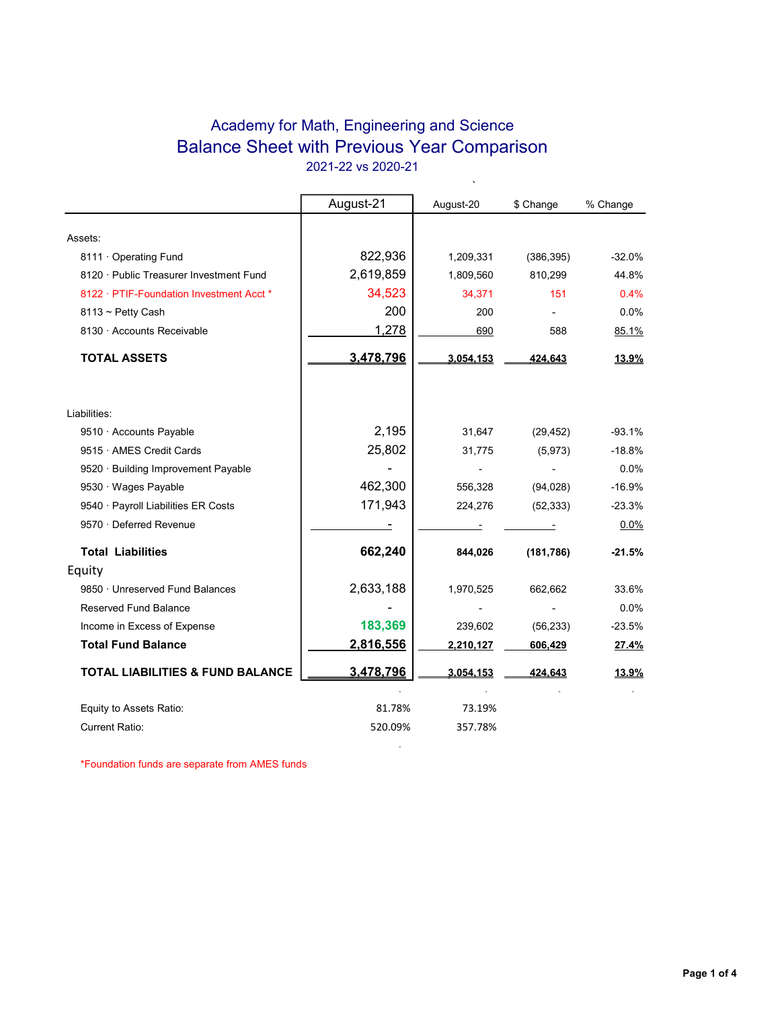## Academy for Math, Engineering and Science Balance Sheet with Previous Year Comparison 2021-22 vs 2020-21

 $\ddot{\phantom{0}}$ 

|                                             | August-21 | August-20 | \$ Change  | % Change     |
|---------------------------------------------|-----------|-----------|------------|--------------|
|                                             |           |           |            |              |
| Assets:                                     |           |           |            |              |
| 8111 Operating Fund                         | 822,936   | 1,209,331 | (386, 395) | $-32.0%$     |
| 8120 · Public Treasurer Investment Fund     | 2,619,859 | 1,809,560 | 810,299    | 44.8%        |
| 8122 · PTIF-Foundation Investment Acct *    | 34,523    | 34,371    | 151        | 0.4%         |
| $8113 \sim$ Petty Cash                      | 200       | 200       |            | 0.0%         |
| 8130 · Accounts Receivable                  | 1,278     | 690       | 588        | 85.1%        |
| <b>TOTAL ASSETS</b>                         | 3,478,796 | 3.054,153 | 424,643    | 13.9%        |
| Liabilities:                                |           |           |            |              |
| 9510 · Accounts Payable                     | 2,195     | 31,647    | (29, 452)  | $-93.1%$     |
| 9515 · AMES Credit Cards                    | 25,802    | 31,775    | (5, 973)   | $-18.8%$     |
| 9520 · Building Improvement Payable         |           |           |            | 0.0%         |
| 9530 · Wages Payable                        | 462,300   | 556,328   | (94, 028)  | $-16.9%$     |
| 9540 · Payroll Liabilities ER Costs         | 171,943   | 224,276   | (52, 333)  | $-23.3%$     |
| 9570 · Deferred Revenue                     |           |           |            | 0.0%         |
| <b>Total Liabilities</b>                    | 662,240   | 844,026   | (181, 786) | $-21.5%$     |
| Equity                                      |           |           |            |              |
| 9850 · Unreserved Fund Balances             | 2,633,188 | 1,970,525 | 662,662    | 33.6%        |
| Reserved Fund Balance                       |           |           |            | 0.0%         |
| Income in Excess of Expense                 | 183,369   | 239,602   | (56, 233)  | $-23.5%$     |
| <b>Total Fund Balance</b>                   | 2,816,556 | 2,210,127 | 606,429    | 27.4%        |
| <b>TOTAL LIABILITIES &amp; FUND BALANCE</b> | 3,478,796 | 3,054,153 | 424,643    | <u>13.9%</u> |
| Equity to Assets Ratio:                     | 81.78%    | 73.19%    |            |              |
| <b>Current Ratio:</b>                       |           |           |            |              |

**- All and All and All and All and All** 

\*Foundation funds are separate from AMES funds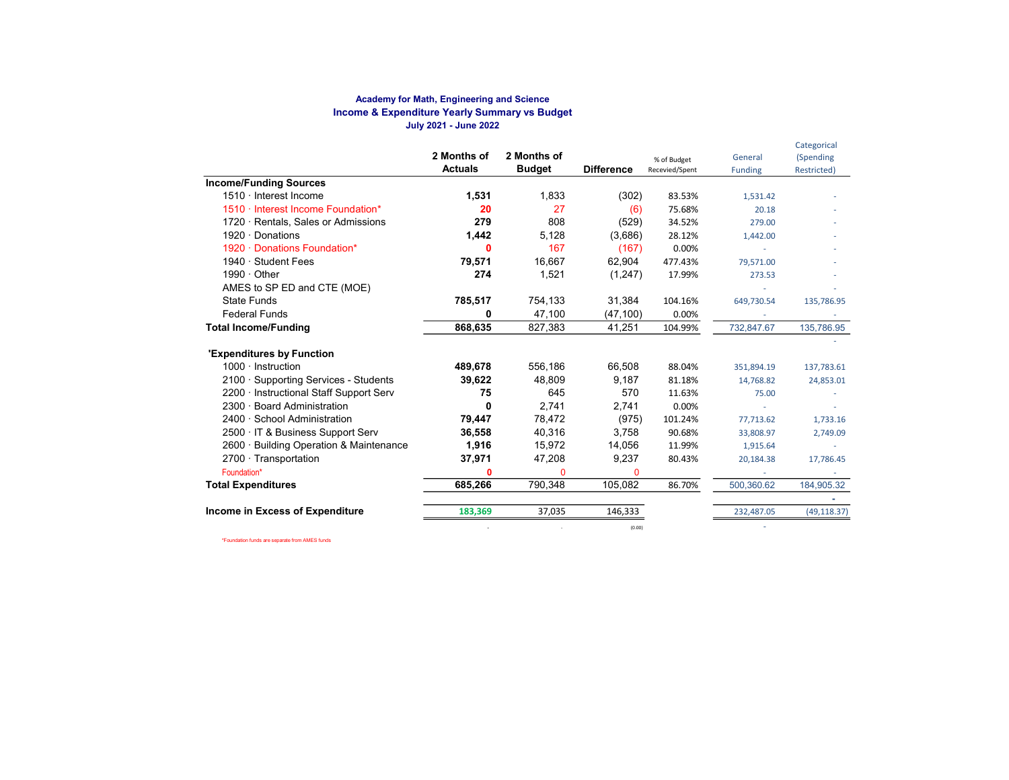#### Academy for Math, Engineering and Science Income & Expenditure Yearly Summary vs Budget July 2021 - June 2022

|                                         | 2 Months of<br><b>Actuals</b> | 2 Months of<br><b>Budget</b> | <b>Difference</b> | % of Budget<br>Recevied/Spent | General<br><b>Funding</b> | Categorical<br>(Spending<br>Restricted) |
|-----------------------------------------|-------------------------------|------------------------------|-------------------|-------------------------------|---------------------------|-----------------------------------------|
| <b>Income/Funding Sources</b>           |                               |                              |                   |                               |                           |                                         |
| 1510 · Interest Income                  | 1,531                         | 1.833                        | (302)             | 83.53%                        | 1,531.42                  |                                         |
| 1510 · Interest Income Foundation*      | 20                            | 27                           | (6)               | 75.68%                        | 20.18                     |                                         |
| 1720 · Rentals, Sales or Admissions     | 279                           | 808                          | (529)             | 34.52%                        | 279.00                    |                                         |
| $1920 \cdot$ Donations                  | 1,442                         | 5,128                        | (3,686)           | 28.12%                        | 1,442.00                  |                                         |
| 1920 · Donations Foundation*            | 0                             | 167                          | (167)             | 0.00%                         |                           |                                         |
| 1940 · Student Fees                     | 79,571                        | 16.667                       | 62,904            | 477.43%                       | 79,571.00                 |                                         |
| $1990 \cdot$ Other                      | 274                           | 1,521                        | (1,247)           | 17.99%                        | 273.53                    |                                         |
| AMES to SP ED and CTE (MOE)             |                               |                              |                   |                               |                           |                                         |
| <b>State Funds</b>                      | 785,517                       | 754,133                      | 31,384            | 104.16%                       | 649,730.54                | 135,786.95                              |
| <b>Federal Funds</b>                    | 0                             | 47,100                       | (47, 100)         | 0.00%                         |                           |                                         |
| <b>Total Income/Funding</b>             | 868,635                       | 827,383                      | 41,251            | 104.99%                       | 732,847.67                | 135,786.95                              |
| <b>'Expenditures by Function</b>        |                               |                              |                   |                               |                           |                                         |
| $1000 \cdot$ Instruction                | 489,678                       | 556,186                      | 66,508            | 88.04%                        | 351,894.19                | 137,783.61                              |
| 2100 · Supporting Services - Students   | 39,622                        | 48.809                       | 9,187             | 81.18%                        | 14,768.82                 | 24,853.01                               |
| 2200 · Instructional Staff Support Serv | 75                            | 645                          | 570               | 11.63%                        | 75.00                     |                                         |
| 2300 · Board Administration             | 0                             | 2.741                        | 2,741             | 0.00%                         |                           |                                         |
| 2400 · School Administration            | 79,447                        | 78.472                       | (975)             | 101.24%                       | 77,713.62                 | 1,733.16                                |
| 2500 · IT & Business Support Serv       | 36,558                        | 40.316                       | 3.758             | 90.68%                        | 33,808.97                 | 2,749.09                                |
| 2600 · Building Operation & Maintenance | 1,916                         | 15,972                       | 14,056            | 11.99%                        | 1,915.64                  |                                         |
| $2700 \cdot$ Transportation             | 37,971                        | 47,208                       | 9,237             | 80.43%                        | 20,184.38                 | 17,786.45                               |
| Foundation*                             |                               | 0                            | $\mathbf{0}$      |                               |                           |                                         |
| <b>Total Expenditures</b>               | 685,266                       | 790,348                      | 105,082           | 86.70%                        | 500,360.62                | 184,905.32                              |
|                                         |                               |                              |                   |                               |                           |                                         |
| Income in Excess of Expenditure         | 183,369                       | 37,035                       | 146,333           |                               | 232,487.05                | (49, 118.37)                            |
|                                         |                               |                              | (0.00)            |                               |                           |                                         |

\*Foundation funds are separate from AMES funds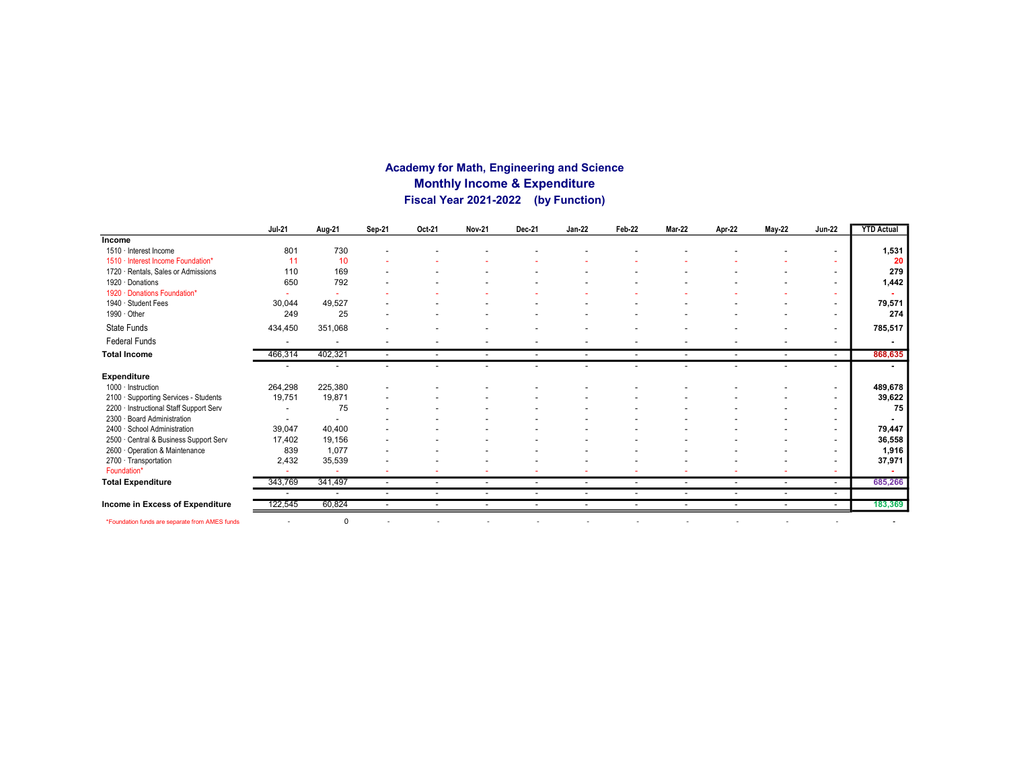#### Academy for Math, Engineering and Science Monthly Income & Expenditure Fiscal Year 2021-2022 (by Function)

|                                                | <b>Jul-21</b>            | Aug-21                   | Sep-21                   | Oct-21                   | <b>Nov-21</b>            | Dec-21                   | <b>Jan-22</b>  | Feb-22                   | Mar-22                   | Apr-22                   | <b>May-22</b>            | <b>Jun-22</b>            | <b>YTD Actual</b> |
|------------------------------------------------|--------------------------|--------------------------|--------------------------|--------------------------|--------------------------|--------------------------|----------------|--------------------------|--------------------------|--------------------------|--------------------------|--------------------------|-------------------|
| Income                                         |                          |                          |                          |                          |                          |                          |                |                          |                          |                          |                          |                          |                   |
| 1510 · Interest Income                         | 801                      | 730                      |                          |                          |                          |                          |                |                          |                          |                          |                          |                          | 1,531             |
| 1510 · Interest Income Foundation*             | 11                       | 10                       |                          |                          |                          |                          |                |                          |                          |                          |                          |                          | 20                |
| 1720 · Rentals, Sales or Admissions            | 110                      | 169                      |                          |                          |                          |                          |                |                          |                          |                          |                          |                          | 279               |
| 1920 · Donations                               | 650                      | 792                      |                          |                          |                          |                          |                |                          |                          |                          |                          |                          | 1,442             |
| 1920 · Donations Foundation*                   |                          |                          |                          |                          |                          |                          |                |                          |                          |                          |                          | ۰                        |                   |
| 1940 · Student Fees                            | 30,044                   | 49,527                   |                          |                          |                          |                          |                |                          |                          |                          |                          | $\overline{\phantom{a}}$ | 79,571            |
| 1990 · Other                                   | 249                      | 25                       | ٠                        |                          |                          |                          |                |                          |                          |                          |                          | $\overline{\phantom{a}}$ | 274               |
| State Funds                                    | 434,450                  | 351,068                  |                          |                          |                          |                          |                |                          |                          |                          |                          | $\overline{\phantom{a}}$ | 785,517           |
| <b>Federal Funds</b>                           | $\overline{\phantom{a}}$ | $\overline{\phantom{a}}$ | ٠                        |                          |                          |                          | ٠              |                          |                          |                          |                          | $\overline{\phantom{a}}$ | $\blacksquare$    |
| <b>Total Income</b>                            | 466,314                  | 402,321                  | $\overline{\phantom{a}}$ | $\overline{\phantom{a}}$ | $\overline{\phantom{a}}$ | $\overline{\phantom{a}}$ | $\sim$         | $\overline{\phantom{a}}$ | $\sim$                   | $\overline{\phantom{a}}$ | $\overline{\phantom{a}}$ | $\overline{\phantom{a}}$ | 868,635           |
|                                                |                          |                          |                          |                          |                          |                          |                |                          |                          |                          |                          | ۰                        |                   |
| Expenditure                                    |                          |                          |                          |                          |                          |                          |                |                          |                          |                          |                          |                          |                   |
| 1000 · Instruction                             | 264,298                  | 225,380                  |                          |                          |                          |                          |                |                          |                          |                          |                          | $\overline{\phantom{a}}$ | 489,678           |
| 2100 · Supporting Services - Students          | 19,751                   | 19.871                   |                          |                          |                          |                          |                |                          |                          |                          |                          | $\overline{\phantom{a}}$ | 39,622            |
| 2200 · Instructional Staff Support Serv        |                          | 75                       |                          |                          |                          |                          |                |                          |                          |                          |                          | $\overline{\phantom{a}}$ | 75                |
| 2300 · Board Administration                    | $\overline{\phantom{a}}$ | $\overline{\phantom{a}}$ |                          |                          |                          |                          |                |                          |                          |                          |                          | $\overline{\phantom{a}}$ |                   |
| 2400 · School Administration                   | 39,047                   | 40,400                   |                          |                          |                          |                          |                |                          |                          |                          |                          |                          | 79,447            |
| 2500 · Central & Business Support Serv         | 17,402                   | 19,156                   |                          |                          |                          |                          |                |                          |                          |                          |                          | $\sim$                   | 36,558            |
| 2600 Operation & Maintenance                   | 839                      | 1,077                    |                          |                          |                          |                          |                |                          |                          |                          |                          | -                        | 1,916             |
| 2700 · Transportation                          | 2,432                    | 35,539                   |                          |                          |                          |                          |                |                          |                          |                          |                          | $\overline{\phantom{0}}$ | 37,971            |
| Foundation*                                    | $\overline{\phantom{a}}$ |                          | ٠                        |                          |                          | $\overline{\phantom{a}}$ |                |                          |                          |                          |                          | ٠                        |                   |
| <b>Total Expenditure</b>                       | 343,769                  | 341,497                  | $\overline{\phantom{a}}$ | $\overline{\phantom{a}}$ | $\overline{\phantom{a}}$ | $\overline{\phantom{a}}$ | $\sim$         | $\overline{\phantom{a}}$ | $\overline{\phantom{a}}$ | $\overline{\phantom{a}}$ | $\overline{\phantom{a}}$ | $\sim$                   | 685,266           |
|                                                |                          | $\overline{\phantom{a}}$ | ٠                        | $\overline{\phantom{a}}$ | $\overline{\phantom{a}}$ | $\overline{\phantom{a}}$ | $\overline{a}$ | $\overline{\phantom{a}}$ | $\overline{\phantom{a}}$ | $\overline{\phantom{a}}$ | $\overline{\phantom{a}}$ | $\overline{\phantom{a}}$ |                   |
| Income in Excess of Expenditure                | 122,545                  | 60,824                   | $\overline{\phantom{a}}$ |                          | $\overline{\phantom{a}}$ | $\overline{\phantom{a}}$ | ٠              | $\overline{\phantom{a}}$ | $\overline{\phantom{a}}$ |                          |                          | $\sim$                   | 183,369           |
| *Foundation funds are separate from AMES funds |                          | $\mathbf 0$              |                          |                          |                          | $\overline{\phantom{0}}$ |                | $\overline{\phantom{a}}$ |                          |                          | $\overline{\phantom{a}}$ |                          |                   |